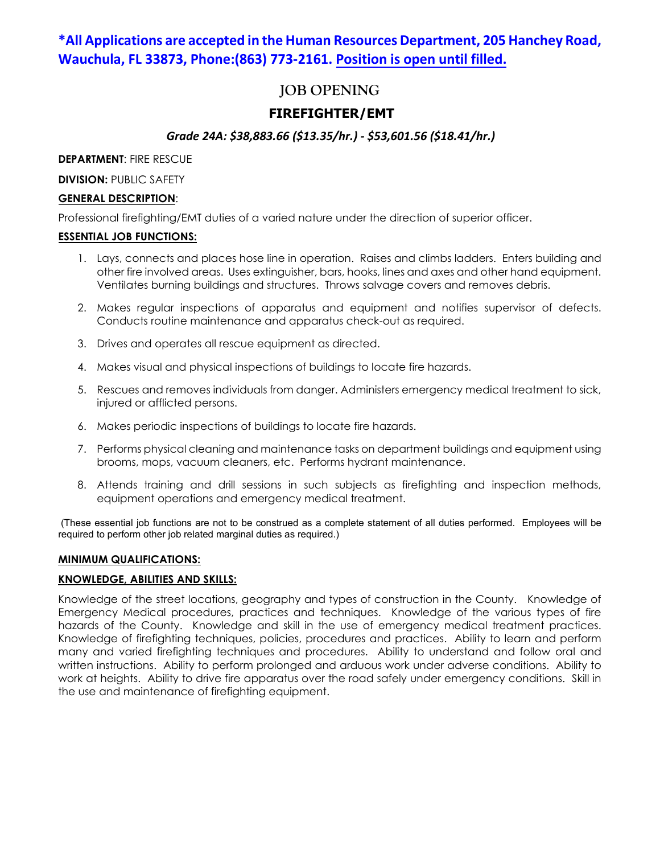# **\*All Applications are accepted in the Human Resources Department, 205 Hanchey Road, Wauchula, FL 33873, Phone:(863) 773-2161. Position is open until filled.**

# **JOB OPENING**

## **FIREFIGHTER/EMT**

## *Grade 24A: \$38,883.66 (\$13.35/hr.) - \$53,601.56 (\$18.41/hr.)*

**DEPARTMENT**: FIRE RESCUE

**DIVISION: PUBLIC SAFETY** 

#### **GENERAL DESCRIPTION**:

Professional firefighting/EMT duties of a varied nature under the direction of superior officer.

#### **ESSENTIAL JOB FUNCTIONS:**

- 1. Lays, connects and places hose line in operation. Raises and climbs ladders. Enters building and other fire involved areas. Uses extinguisher, bars, hooks, lines and axes and other hand equipment. Ventilates burning buildings and structures. Throws salvage covers and removes debris.
- 2. Makes regular inspections of apparatus and equipment and notifies supervisor of defects. Conducts routine maintenance and apparatus check-out as required.
- 3. Drives and operates all rescue equipment as directed.
- 4. Makes visual and physical inspections of buildings to locate fire hazards.
- 5. Rescues and removes individuals from danger. Administers emergency medical treatment to sick, injured or afflicted persons.
- 6. Makes periodic inspections of buildings to locate fire hazards.
- 7. Performs physical cleaning and maintenance tasks on department buildings and equipment using brooms, mops, vacuum cleaners, etc. Performs hydrant maintenance.
- 8. Attends training and drill sessions in such subjects as firefighting and inspection methods, equipment operations and emergency medical treatment.

(These essential job functions are not to be construed as a complete statement of all duties performed. Employees will be required to perform other job related marginal duties as required.)

### **MINIMUM QUALIFICATIONS:**

### **KNOWLEDGE, ABILITIES AND SKILLS:**

Knowledge of the street locations, geography and types of construction in the County. Knowledge of Emergency Medical procedures, practices and techniques. Knowledge of the various types of fire hazards of the County. Knowledge and skill in the use of emergency medical treatment practices. Knowledge of firefighting techniques, policies, procedures and practices. Ability to learn and perform many and varied firefighting techniques and procedures. Ability to understand and follow oral and written instructions. Ability to perform prolonged and arduous work under adverse conditions. Ability to work at heights. Ability to drive fire apparatus over the road safely under emergency conditions. Skill in the use and maintenance of firefighting equipment.